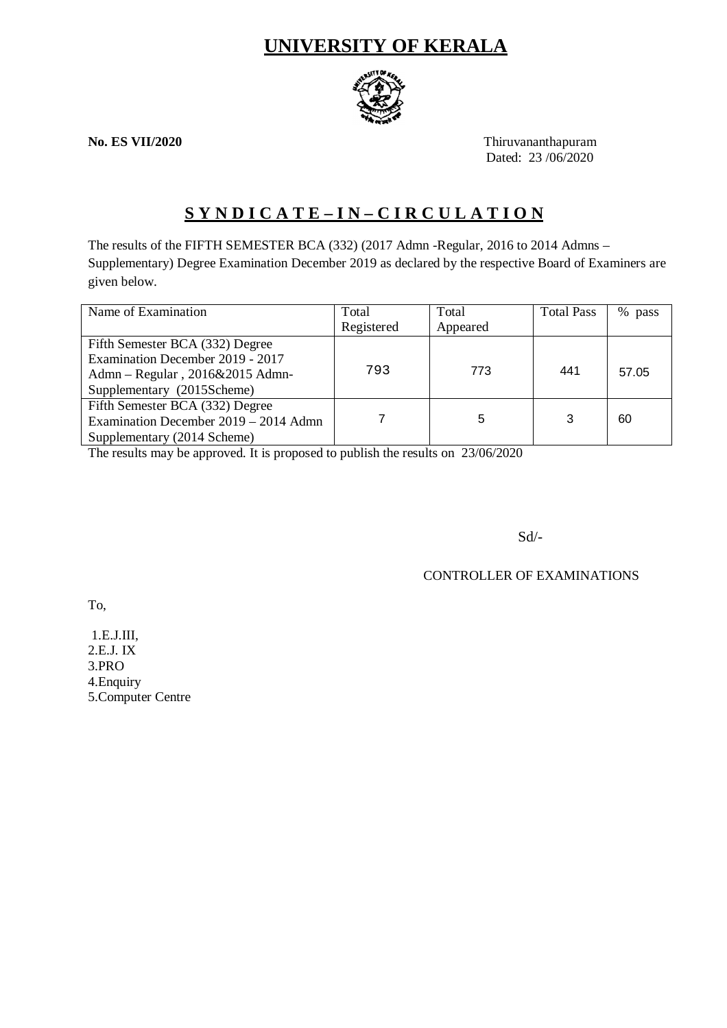# **UNIVERSITY OF KERALA**



**No. ES VII/2020** Thiruvananthapuram Dated: 23/06/2020

# **S Y N D I C A T E – I N – C I R C U L A T I O N**

The results of the FIFTH SEMESTER BCA (332) (2017 Admn -Regular, 2016 to 2014 Admns – Supplementary) Degree Examination December 2019 as declared by the respective Board of Examiners are given below.

| Name of Examination                   | Total      | Total    | <b>Total Pass</b> | %<br>pass |
|---------------------------------------|------------|----------|-------------------|-----------|
|                                       | Registered | Appeared |                   |           |
| Fifth Semester BCA (332) Degree       |            |          |                   |           |
| Examination December 2019 - 2017      |            |          |                   |           |
| Admn – Regular, 2016&2015 Admn-       | 793        | 773      | 441               | 57.05     |
| Supplementary (2015Scheme)            |            |          |                   |           |
| Fifth Semester BCA (332) Degree       |            |          |                   |           |
| Examination December 2019 – 2014 Admn |            | 5        | 3                 | 60        |
| Supplementary (2014 Scheme)           |            |          |                   |           |

The results may be approved. It is proposed to publish the results on 23/06/2020

Sd/-

CONTROLLER OF EXAMINATIONS

To,

1.E.J.III, 2.E.J. IX 3.PRO 4.Enquiry 5.Computer Centre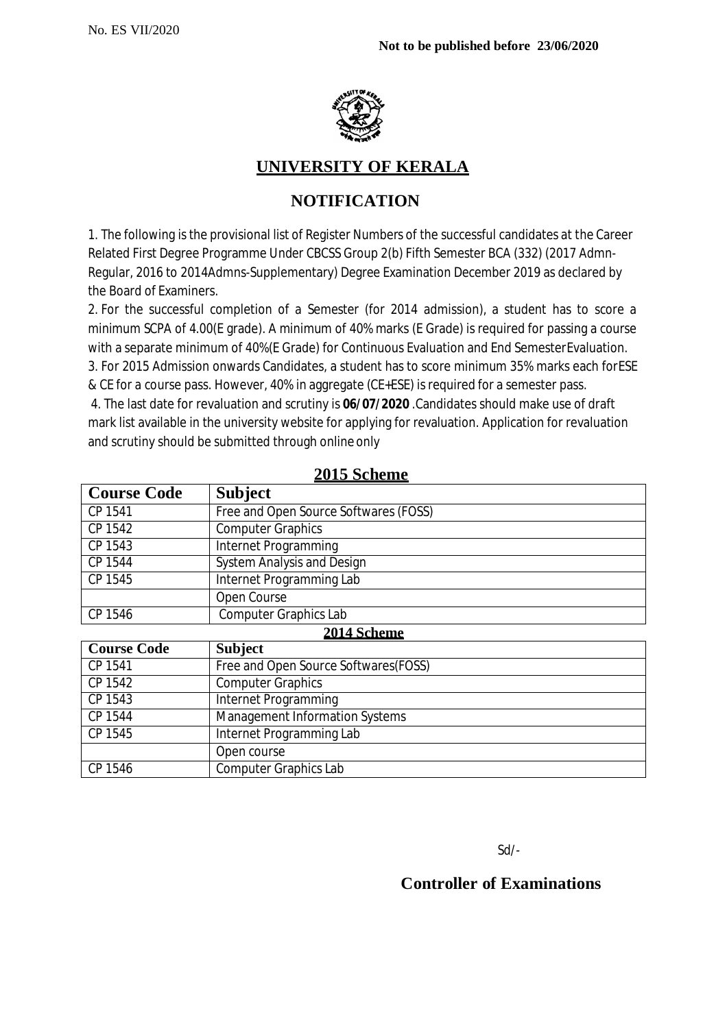

## **UNIVERSITY OF KERALA**

# **NOTIFICATION**

1. The following is the provisional list of Register Numbers of the successful candidates at the Career Related First Degree Programme Under CBCSS Group 2(b) Fifth Semester BCA (332) (2017 Admn-Regular, 2016 to 2014Admns-Supplementary) Degree Examination December 2019 as declared by the Board of Examiners.

2. For the successful completion of a Semester (for 2014 admission), a student has to score a minimum SCPA of 4.00(E grade). A minimum of 40% marks (E Grade) is required for passing a course with a separate minimum of 40%(E Grade) for Continuous Evaluation and End SemesterEvaluation. 3. For 2015 Admission onwards Candidates, a student has to score minimum 35% marks each forESE & CE for a course pass. However, 40% in aggregate (CE+ESE) is required for a semester pass.

4. The last date for revaluation and scrutiny is **06/07/2020** .Candidates should make use of draft mark list available in the university website for applying for revaluation. Application for revaluation and scrutiny should be submitted through online only

| <b>Course Code</b> | <b>Subject</b>                        |  |
|--------------------|---------------------------------------|--|
| CP 1541            | Free and Open Source Softwares (FOSS) |  |
| CP 1542            | <b>Computer Graphics</b>              |  |
| CP 1543            | Internet Programming                  |  |
| CP 1544            | <b>System Analysis and Design</b>     |  |
| CP 1545            | Internet Programming Lab              |  |
|                    | Open Course                           |  |
| CP 1546            | <b>Computer Graphics Lab</b>          |  |
|                    | 2014 Scheme                           |  |
| <b>Course Code</b> | <b>Subject</b>                        |  |
| CP 1541            | Free and Open Source Softwares (FOSS) |  |
| CP 1542            | <b>Computer Graphics</b>              |  |
| CP 1543            | Internet Programming                  |  |
| CP 1544            | <b>Management Information Systems</b> |  |
| CP 1545            | Internet Programming Lab              |  |
|                    | Open course                           |  |

CP 1546 Computer Graphics Lab

**2015 Scheme**

Sd/-

## **Controller of Examinations**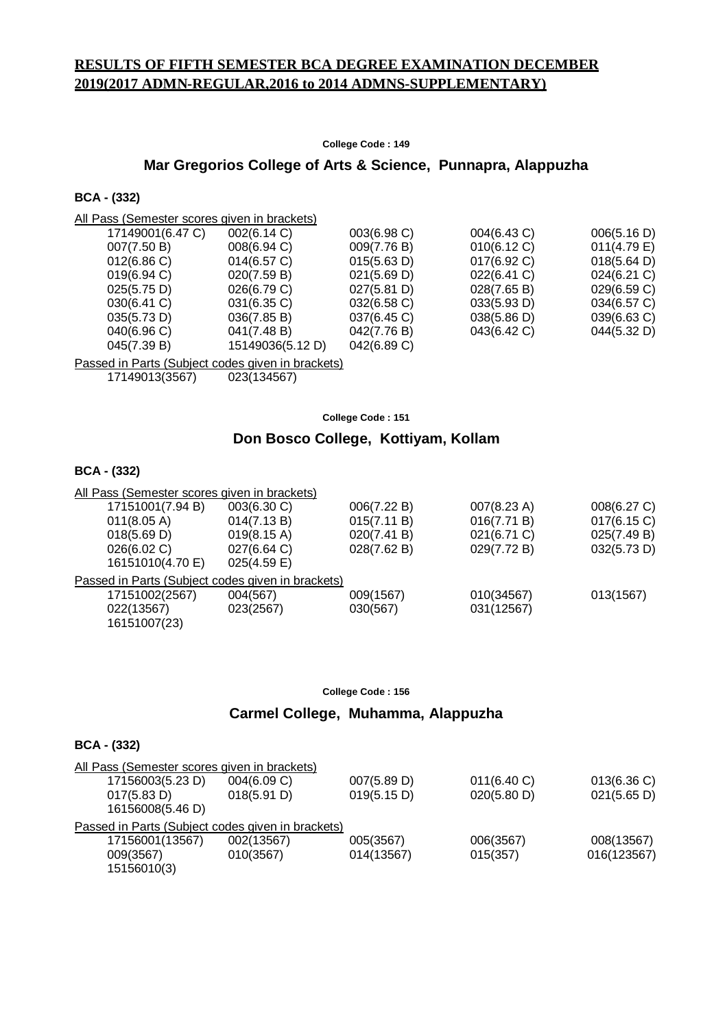### **RESULTS OF FIFTH SEMESTER BCA DEGREE EXAMINATION DECEMBER 2019(2017 ADMN-REGULAR,2016 to 2014 ADMNS-SUPPLEMENTARY)**

**College Code : 149**

#### **Mar Gregorios College of Arts & Science, Punnapra, Alappuzha**

#### **BCA - (332)**

| All Pass (Semester scores given in brackets) |                  |                |             |                       |
|----------------------------------------------|------------------|----------------|-------------|-----------------------|
| 17149001(6.47 C)                             | 002(6.14 C)      | 003(6.98 C)    | 004(6.43 C) | 006(5.16 D)           |
| 007(7.50 B)                                  | $008(6.94)$ C)   | 009(7.76 B)    | 010(6.12 C) | 011(4.79 E)           |
| 012(6.86)                                    | $014(6.57)$ C)   | 015(5.63 D)    | 017(6.92 C) | $018(5.64 \text{ D})$ |
| $019(6.94)$ C)                               | 020(7.59 B)      | 021(5.69 D)    | 022(6.41)   | $024(6.21)$ C)        |
| 025(5.75 D)                                  | 026(6.79 C)      | 027(5.81)      | 028(7.65 B) | 029(6.59 C)           |
| $030(6.41)$ C)                               | $031(6.35)$ C)   | 032(6.58)      | 033(5.93 D) | 034(6.57 C)           |
| 035(5.73 D)                                  | 036(7.85 B)      | $037(6.45)$ C) | 038(5.86 D) | $039(6.63)$ C)        |
| 040(6.96 C)                                  | 041(7.48 B)      | 042(7.76 B)    | 043(6.42 C) | 044(5.32 D)           |
| 045(7.39 B)                                  | 15149036(5.12 D) | 042(6.89 C)    |             |                       |
|                                              |                  |                |             |                       |

Passed in Parts (Subject codes given in brackets)

17149013(3567) 023(134567)

**College Code : 151**

#### **Don Bosco College, Kottiyam, Kollam**

#### **BCA - (332)**

| All Pass (Semester scores given in brackets)      |                       |             |             |             |
|---------------------------------------------------|-----------------------|-------------|-------------|-------------|
| 17151001(7.94 B)                                  | 003(6.30 C)           | 006(7.22 B) | 007(8.23 A) | 008(6.27 C) |
| 011(8.05 A)                                       | 014(7.13 B)           | 015(7.11 B) | 016(7.71 B) | 017(6.15 C) |
| 018(5.69 D)                                       | $019(8.15 \text{ A})$ | 020(7.41 B) | 021(6.71 C) | 025(7.49 B) |
| 026(6.02 C)                                       | 027(6.64 C)           | 028(7.62 B) | 029(7.72 B) | 032(5.73 D) |
| 16151010(4.70 E)                                  | $025(4.59)$ E)        |             |             |             |
| Passed in Parts (Subject codes given in brackets) |                       |             |             |             |
| 17151002(2567)                                    | 004(567)              | 009(1567)   | 010(34567)  | 013(1567)   |
| 022(13567)                                        | 023(2567)             | 030(567)    | 031(12567)  |             |
| 16151007(23)                                      |                       |             |             |             |

**College Code : 156**

#### **Carmel College, Muhamma, Alappuzha**

|                  | All Pass (Semester scores given in brackets)      |             |             |             |
|------------------|---------------------------------------------------|-------------|-------------|-------------|
| 17156003(5.23 D) | 004(6.09 C)                                       | 007(5.89 D) | 011(6.40 C) | 013(6.36)   |
| 017(5.83 D)      | 018(5.91 D)                                       | 019(5.15 D) | 020(5.80 D) | 021(5.65 D) |
| 16156008(5.46 D) |                                                   |             |             |             |
|                  | Passed in Parts (Subject codes given in brackets) |             |             |             |
| 17156001(13567)  | 002(13567)                                        | 005(3567)   | 006(3567)   | 008(13567)  |
| 009(3567)        | 010(3567)                                         | 014(13567)  | 015(357)    | 016(123567) |
| 15156010(3)      |                                                   |             |             |             |
|                  |                                                   |             |             |             |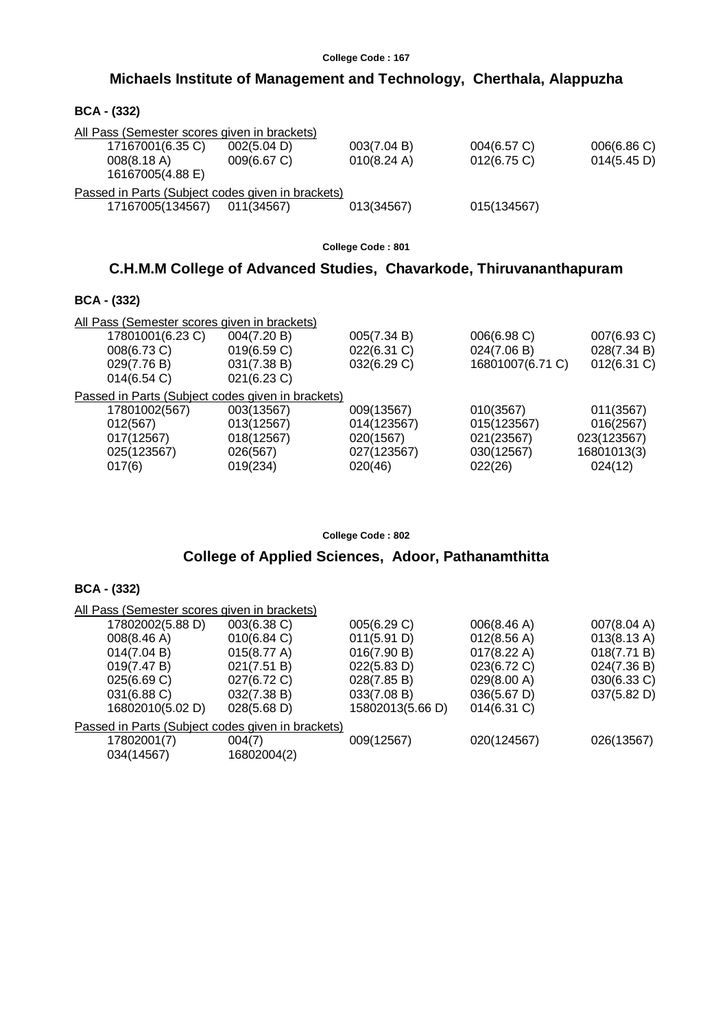## **Michaels Institute of Management and Technology, Cherthala, Alappuzha**

| <b>BCA - (332)</b>                                |             |             |             |             |
|---------------------------------------------------|-------------|-------------|-------------|-------------|
| All Pass (Semester scores given in brackets)      |             |             |             |             |
| 17167001(6.35 C)                                  | 002(5.04 D) | 003(7.04 B) | 004(6.57 C) | 006(6.86 C) |
| 008(8.18 A)                                       | 009(6.67 C) | 010(8.24 A) | 012(6.75)   | 014(5.45 D) |
| 16167005(4.88 E)                                  |             |             |             |             |
| Passed in Parts (Subject codes given in brackets) |             |             |             |             |
| 17167005(134567)                                  | 011(34567)  | 013(34567)  | 015(134567) |             |
|                                                   |             |             |             |             |

**College Code : 801**

## **C.H.M.M College of Advanced Studies, Chavarkode, Thiruvananthapuram**

#### **BCA - (332)**

| All Pass (Semester scores given in brackets)      |                |             |                  |                |
|---------------------------------------------------|----------------|-------------|------------------|----------------|
| 17801001(6.23 C)                                  | 004(7.20 B)    | 005(7.34 B) | 006(6.98 C)      | 007(6.93 C)    |
| 008(6.73 C)                                       | 019(6.59 C)    | 022(6.31 C) | 024(7.06 B)      | 028(7.34 B)    |
| 029(7.76 B)                                       | 031(7.38 B)    | 032(6.29 C) | 16801007(6.71 C) | $012(6.31)$ C) |
| 014(6.54)                                         | $021(6.23)$ C) |             |                  |                |
| Passed in Parts (Subject codes given in brackets) |                |             |                  |                |
| 17801002(567)                                     | 003(13567)     | 009(13567)  | 010(3567)        | 011(3567)      |
| 012(567)                                          | 013(12567)     | 014(123567) | 015(123567)      | 016(2567)      |
| 017(12567)                                        | 018(12567)     | 020(1567)   | 021(23567)       | 023(123567)    |
| 025(123567)                                       | 026(567)       | 027(123567) | 030(12567)       | 16801013(3)    |
| 017(6)                                            | 019(234)       | 020(46)     | 022(26)          | 024(12)        |

**College Code : 802**

## **College of Applied Sciences, Adoor, Pathanamthitta**

| All Pass (Semester scores given in brackets)      |                       |                  |                       |             |
|---------------------------------------------------|-----------------------|------------------|-----------------------|-------------|
| 17802002(5.88 D)                                  | 003(6.38 C)           | 005(6.29 C)      | 006(8.46 A)           | 007(8.04 A) |
| 008(8.46 A)                                       | 010(6.84)             | 011(5.91 D)      | 012(8.56 A)           | 013(8.13 A) |
| 014(7.04 B)                                       | 015(8.77 A)           | 016(7.90 B)      | $017(8.22 \text{ A})$ | 018(7.71 B) |
| 019(7.47 B)                                       | 021(7.51 B)           | 022(5.83 D)      | 023(6.72 C)           | 024(7.36 B) |
| 025(6.69 C)                                       | 027(6.72 C)           | 028(7.85 B)      | 029(8.00 A)           | 030(6.33 C) |
| 031(6.88 C)                                       | 032(7.38 B)           | 033(7.08 B)      | 036(5.67 D)           | 037(5.82 D) |
| 16802010(5.02 D)                                  | $028(5.68 \text{ D})$ | 15802013(5.66 D) | $014(6.31)$ C)        |             |
| Passed in Parts (Subject codes given in brackets) |                       |                  |                       |             |
| 17802001(7)                                       | 004(7)                | 009(12567)       | 020(124567)           | 026(13567)  |
| 034(14567)                                        | 16802004(2)           |                  |                       |             |
|                                                   |                       |                  |                       |             |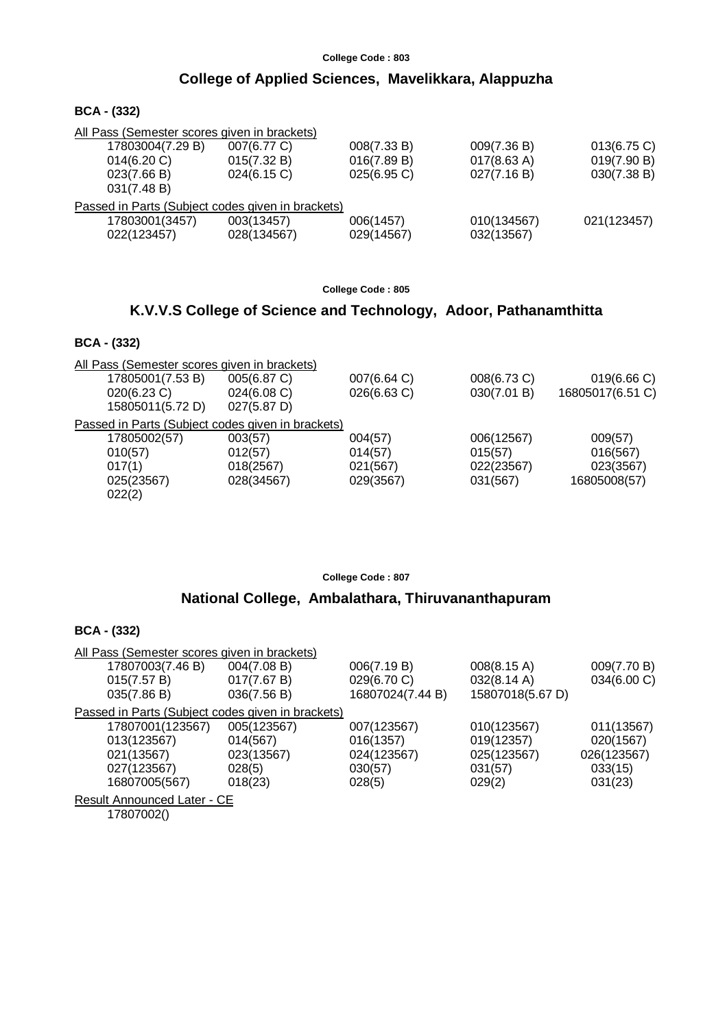## **College of Applied Sciences, Mavelikkara, Alappuzha**

**BCA - (332)**

| All Pass (Semester scores given in brackets)      |             |             |                       |             |
|---------------------------------------------------|-------------|-------------|-----------------------|-------------|
| 17803004(7.29 B)                                  | 007(6.77 C) | 008(7.33 B) | 009(7.36 B)           | 013(6.75)   |
| 014(6.20 C)                                       | 015(7.32 B) | 016(7.89 B) | $017(8.63 \text{ A})$ | 019(7.90 B) |
| 023(7.66 B)                                       | 024(6.15)   | 025(6.95 C) | 027(7.16 B)           | 030(7.38 B) |
| 031(7.48 B)                                       |             |             |                       |             |
| Passed in Parts (Subject codes given in brackets) |             |             |                       |             |
| 17803001(3457)                                    | 003(13457)  | 006(1457)   | 010(134567)           | 021(123457) |
| 022(123457)                                       | 028(134567) | 029(14567)  | 032(13567)            |             |
|                                                   |             |             |                       |             |

**College Code : 805**

## **K.V.V.S College of Science and Technology, Adoor, Pathanamthitta**

### **BCA - (332)**

| All Pass (Semester scores given in brackets)      |             |             |             |                  |
|---------------------------------------------------|-------------|-------------|-------------|------------------|
| 17805001(7.53 B)                                  | 005(6.87 C) | 007(6.64 C) | 008(6.73 C) | 019(6.66 C)      |
| $020(6.23)$ C)                                    | 024(6.08)   | 026(6.63 C) | 030(7.01 B) | 16805017(6.51 C) |
| 15805011(5.72 D)                                  | 027(5.87 D) |             |             |                  |
| Passed in Parts (Subject codes given in brackets) |             |             |             |                  |
| 17805002(57)                                      | 003(57)     | 004(57)     | 006(12567)  | 009(57)          |
| 010(57)                                           | 012(57)     | 014(57)     | 015(57)     | 016(567)         |
| 017(1)                                            | 018(2567)   | 021(567)    | 022(23567)  | 023(3567)        |
| 025(23567)                                        | 028(34567)  | 029(3567)   | 031(567)    | 16805008(57)     |
| 022(2)                                            |             |             |             |                  |
|                                                   |             |             |             |                  |

**College Code : 807**

### **National College, Ambalathara, Thiruvananthapuram**

### **BCA - (332)**

| All Pass (Semester scores given in brackets)      |             |                  |                  |             |
|---------------------------------------------------|-------------|------------------|------------------|-------------|
| 17807003(7.46 B)                                  | 004(7.08 B) | 006(7.19 B)      | 008(8.15 A)      | 009(7.70 B) |
| 015(7.57 B)                                       | 017(7.67 B) | 029(6.70 C)      | 032(8.14 A)      | 034(6.00 C) |
| 035(7.86 B)                                       | 036(7.56 B) | 16807024(7.44 B) | 15807018(5.67 D) |             |
| Passed in Parts (Subject codes given in brackets) |             |                  |                  |             |
| 17807001(123567)                                  | 005(123567) | 007(123567)      | 010(123567)      | 011(13567)  |
| 013(123567)                                       | 014(567)    | 016(1357)        | 019(12357)       | 020(1567)   |
| 021(13567)                                        | 023(13567)  | 024(123567)      | 025(123567)      | 026(123567) |
| 027(123567)                                       | 028(5)      | 030(57)          | 031(57)          | 033(15)     |
| 16807005(567)                                     | 018(23)     | 028(5)           | 029(2)           | 031(23)     |
| <b>Result Announced Later - CE</b>                |             |                  |                  |             |

17807002()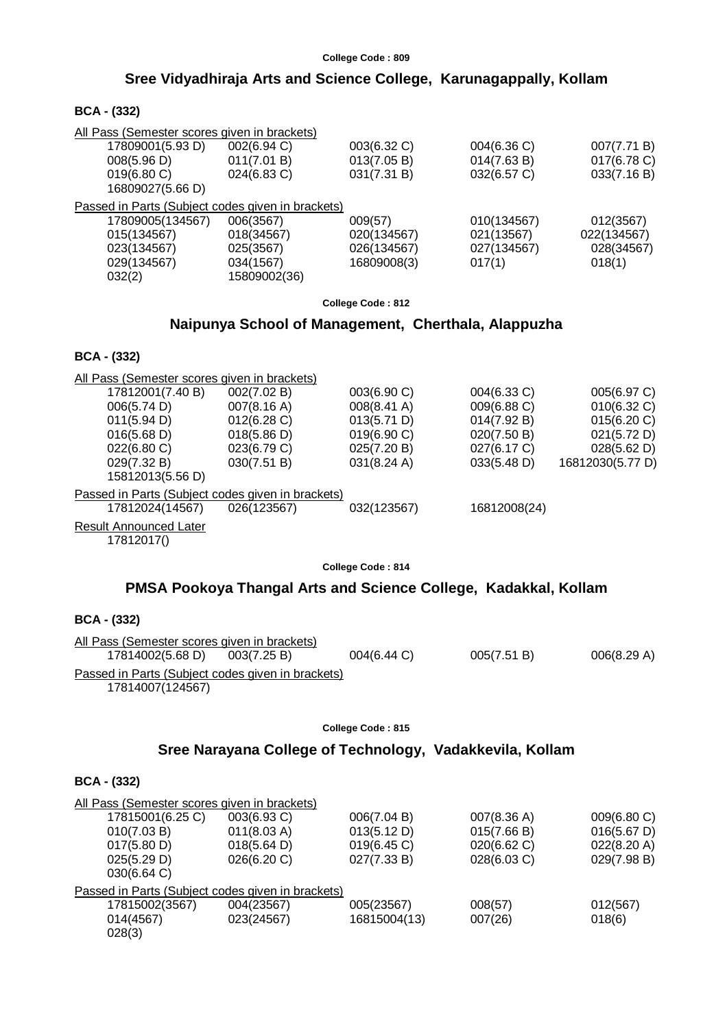# **Sree Vidyadhiraja Arts and Science College, Karunagappally, Kollam**

| <b>BCA - (332)</b> |  |
|--------------------|--|
|--------------------|--|

| All Pass (Semester scores given in brackets)<br>17809001(5.93 D)<br>008(5.96 D)<br>019(6.80 C)<br>16809027(5.66 D)                                                                                                                                                                     | 002(6.94 C)<br>011(7.01 B)<br>024(6.83 C)                                                           | 003(6.32 C)<br>013(7.05 B)<br>031(7.31 B)                                                             | 004(6.36 C)<br>014(7.63 B)<br>032(6.57 C)                                                              | 007(7.71 B)<br>017(6.78 C)<br>033(7.16 B)                                                   |
|----------------------------------------------------------------------------------------------------------------------------------------------------------------------------------------------------------------------------------------------------------------------------------------|-----------------------------------------------------------------------------------------------------|-------------------------------------------------------------------------------------------------------|--------------------------------------------------------------------------------------------------------|---------------------------------------------------------------------------------------------|
| Passed in Parts (Subject codes given in brackets)<br>17809005(134567)<br>015(134567)<br>023(134567)<br>029(134567)<br>032(2)                                                                                                                                                           | 006(3567)<br>018(34567)<br>025(3567)<br>034(1567)<br>15809002(36)                                   | 009(57)<br>020(134567)<br>026(134567)<br>16809008(3)                                                  | 010(134567)<br>021(13567)<br>027(134567)<br>017(1)                                                     | 012(3567)<br>022(134567)<br>028(34567)<br>018(1)                                            |
|                                                                                                                                                                                                                                                                                        |                                                                                                     | College Code: 812                                                                                     |                                                                                                        |                                                                                             |
|                                                                                                                                                                                                                                                                                        | Naipunya School of Management, Cherthala, Alappuzha                                                 |                                                                                                       |                                                                                                        |                                                                                             |
| <b>BCA - (332)</b>                                                                                                                                                                                                                                                                     |                                                                                                     |                                                                                                       |                                                                                                        |                                                                                             |
| All Pass (Semester scores given in brackets)<br>17812001(7.40 B)<br>006(5.74 D)<br>011(5.94 D)<br>016(5.68 D)<br>022(6.80 C)<br>029(7.32 B)<br>15812013(5.56 D)<br>Passed in Parts (Subject codes given in brackets)<br>17812024(14567)<br><b>Result Announced Later</b><br>17812017() | 002(7.02 B)<br>007(8.16 A)<br>012(6.28)<br>018(5.86 D)<br>023(6.79 C)<br>030(7.51 B)<br>026(123567) | 003(6.90 C)<br>008(8.41 A)<br>013(5.71 D)<br>019(6.90 C)<br>025(7.20 B)<br>031(8.24 A)<br>032(123567) | 004(6.33 C)<br>009(6.88 C)<br>014(7.92 B)<br>020(7.50 B)<br>027(6.17 C)<br>033(5.48 D)<br>16812008(24) | 005(6.97 C)<br>010(6.32 C)<br>015(6.20 C)<br>021(5.72 D)<br>028(5.62 D)<br>16812030(5.77 D) |
|                                                                                                                                                                                                                                                                                        |                                                                                                     | College Code: 814                                                                                     |                                                                                                        |                                                                                             |
|                                                                                                                                                                                                                                                                                        | PMSA Pookoya Thangal Arts and Science College, Kadakkal, Kollam                                     |                                                                                                       |                                                                                                        |                                                                                             |
| <b>BCA - (332)</b>                                                                                                                                                                                                                                                                     |                                                                                                     |                                                                                                       |                                                                                                        |                                                                                             |
| All Pass (Semester scores given in brackets)<br>17814002(5.68 D)<br>Passed in Parts (Subject codes given in brackets)                                                                                                                                                                  | 003(7.25 B)                                                                                         | 004(6.44 C)                                                                                           | 005(7.51 B)                                                                                            | 006(8.29 A)                                                                                 |
| 17814007(124567)                                                                                                                                                                                                                                                                       |                                                                                                     |                                                                                                       |                                                                                                        |                                                                                             |

**College Code : 815**

# **Sree Narayana College of Technology, Vadakkevila, Kollam**

| <b>BCA - (332)</b>                                                                                                           |                                                                    |                                                          |                                                          |                                                          |
|------------------------------------------------------------------------------------------------------------------------------|--------------------------------------------------------------------|----------------------------------------------------------|----------------------------------------------------------|----------------------------------------------------------|
| All Pass (Semester scores given in brackets)<br>17815001(6.25 C)<br>010(7.03 B)<br>017(5.80 D)<br>025(5.29 D)<br>030(6.64 C) | 003(6.93 C)<br>011(8.03 A)<br>$018(5.64 \text{ D})$<br>026(6.20 C) | 006(7.04 B)<br>013(5.12 D)<br>019(6.45 C)<br>027(7.33 B) | 007(8.36 A)<br>015(7.66 B)<br>020(6.62 C)<br>028(6.03 C) | 009(6.80 C)<br>016(5.67 D)<br>022(8.20 A)<br>029(7.98 B) |
| Passed in Parts (Subject codes given in brackets)<br>17815002(3567)<br>014(4567)<br>028(3)                                   | 004(23567)<br>023(24567)                                           | 005(23567)<br>16815004(13)                               | 008(57)<br>007(26)                                       | 012(567)<br>018(6)                                       |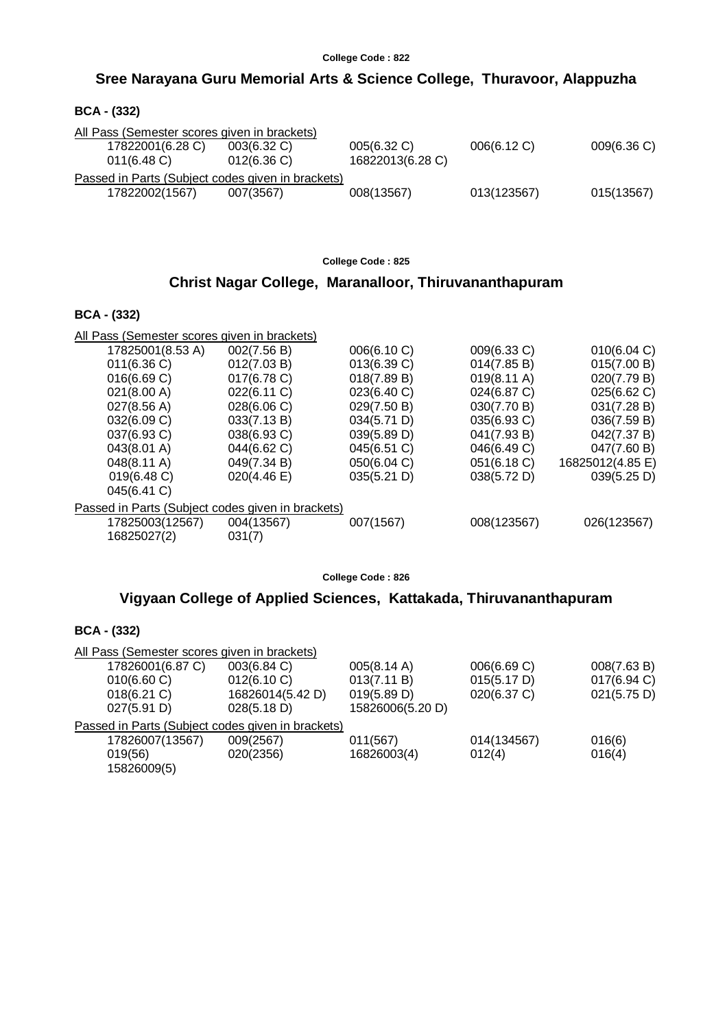## **Sree Narayana Guru Memorial Arts & Science College, Thuravoor, Alappuzha**

| <b>BCA - (332)</b> |  |
|--------------------|--|
|--------------------|--|

| All Pass (Semester scores given in brackets) |                                                   |                  |             |             |
|----------------------------------------------|---------------------------------------------------|------------------|-------------|-------------|
| 17822001(6.28 C)                             | $003(6.32)$ C)                                    | 005(6.32 C)      | 006(6.12 C) | 009(6.36 C) |
| $011(6.48)$ C)                               | 012(6.36)                                         | 16822013(6.28 C) |             |             |
|                                              | Passed in Parts (Subject codes given in brackets) |                  |             |             |
| 17822002(1567)                               | 007(3567)                                         | 008(13567)       | 013(123567) | 015(13567)  |
|                                              |                                                   |                  |             |             |

**College Code : 825**

## **Christ Nagar College, Maranalloor, Thiruvananthapuram**

#### **BCA - (332)**

| All Pass (Semester scores given in brackets)      |             |             |                       |                  |  |  |  |
|---------------------------------------------------|-------------|-------------|-----------------------|------------------|--|--|--|
| 17825001(8.53 A)                                  | 002(7.56 B) | 006(6.10 C) | 009(6.33 C)           | 010(6.04 C)      |  |  |  |
| 011(6.36 C)                                       | 012(7.03 B) | 013(6.39 C) | 014(7.85 B)           | 015(7.00 B)      |  |  |  |
| 016(6.69 C)                                       | 017(6.78 C) | 018(7.89 B) | $019(8.11 \text{ A})$ | 020(7.79 B)      |  |  |  |
| 021(8.00 A)                                       | 022(6.11 C) | 023(6.40 C) | 024(6.87 C)           | 025(6.62 C)      |  |  |  |
| $027(8.56 \text{ A})$                             | 028(6.06)   | 029(7.50 B) | 030(7.70 B)           | 031(7.28 B)      |  |  |  |
| 032(6.09 C)                                       | 033(7.13 B) | 034(5.71 D) | 035(6.93 C)           | 036(7.59 B)      |  |  |  |
| 037(6.93 C)                                       | 038(6.93 C) | 039(5.89 D) | 041(7.93 B)           | 042(7.37 B)      |  |  |  |
| 043(8.01 A)                                       | 044(6.62 C) | 045(6.51 C) | 046(6.49 C)           | 047(7.60 B)      |  |  |  |
| $048(8.11 \text{ A})$                             | 049(7.34 B) | 050(6.04 C) | 051(6.18 C)           | 16825012(4.85 E) |  |  |  |
| 019(6.48 C)                                       | 020(4.46)   | 035(5.21 D) | 038(5.72 D)           | 039(5.25 D)      |  |  |  |
| 045(6.41 C)                                       |             |             |                       |                  |  |  |  |
| Passed in Parts (Subject codes given in brackets) |             |             |                       |                  |  |  |  |
| 17825003(12567)                                   | 004(13567)  | 007(1567)   | 008(123567)           | 026(123567)      |  |  |  |
| 16825027(2)                                       | 031(7)      |             |                       |                  |  |  |  |

**College Code : 826**

## **Vigyaan College of Applied Sciences, Kattakada, Thiruvananthapuram**

| 008(7.63 B)                                       |  |  |  |  |  |  |
|---------------------------------------------------|--|--|--|--|--|--|
| 017(6.94 C)                                       |  |  |  |  |  |  |
| 021(5.75 D)                                       |  |  |  |  |  |  |
|                                                   |  |  |  |  |  |  |
| Passed in Parts (Subject codes given in brackets) |  |  |  |  |  |  |
|                                                   |  |  |  |  |  |  |
|                                                   |  |  |  |  |  |  |
|                                                   |  |  |  |  |  |  |
|                                                   |  |  |  |  |  |  |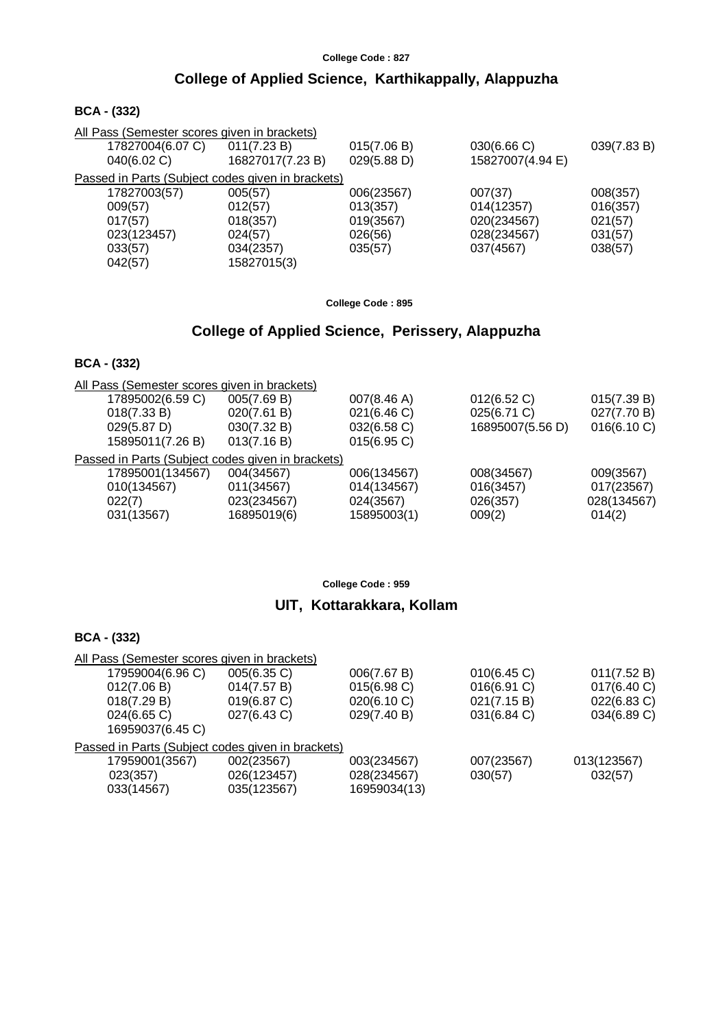## **College of Applied Science, Karthikappally, Alappuzha**

#### **BCA - (332)**

| All Pass (Semester scores given in brackets) |             |                                                   |             |
|----------------------------------------------|-------------|---------------------------------------------------|-------------|
| 011(7.23 B)                                  | 015(7.06 B) | 030(6.66 C)                                       | 039(7.83 B) |
| 16827017(7.23 B)                             | 029(5.88 D) | 15827007(4.94 E)                                  |             |
|                                              |             |                                                   |             |
| 005(57)                                      | 006(23567)  | 007(37)                                           | 008(357)    |
| 012(57)                                      | 013(357)    | 014(12357)                                        | 016(357)    |
| 018(357)                                     | 019(3567)   | 020(234567)                                       | 021(57)     |
| 024(57)                                      | 026(56)     | 028(234567)                                       | 031(57)     |
| 034(2357)                                    | 035(57)     | 037(4567)                                         | 038(57)     |
| 15827015(3)                                  |             |                                                   |             |
|                                              |             | Passed in Parts (Subject codes given in brackets) |             |

**College Code : 895**

# **College of Applied Science, Perissery, Alappuzha**

### **BCA - (332)**

| All Pass (Semester scores given in brackets)      |             |                |                  |             |
|---------------------------------------------------|-------------|----------------|------------------|-------------|
| 17895002(6.59 C)                                  | 005(7.69 B) | 007(8.46 A)    | 012(6.52 C)      | 015(7.39 B) |
| 018(7.33 B)                                       | 020(7.61 B) | 021(6.46)      | 025(6.71 C)      | 027(7.70 B) |
| 029(5.87 D)                                       | 030(7.32 B) | 032(6.58 C)    | 16895007(5.56 D) | 016(6.10 C) |
| 15895011(7.26 B)                                  | 013(7.16 B) | $015(6.95)$ C) |                  |             |
| Passed in Parts (Subject codes given in brackets) |             |                |                  |             |
| 17895001(134567)                                  | 004(34567)  | 006(134567)    | 008(34567)       | 009(3567)   |
| 010(134567)                                       | 011(34567)  | 014(134567)    | 016(3457)        | 017(23567)  |
| 022(7)                                            | 023(234567) | 024(3567)      | 026(357)         | 028(134567) |
| 031(13567)                                        | 16895019(6) | 15895003(1)    | 009(2)           | 014(2)      |
|                                                   |             |                |                  |             |

**College Code : 959**

## **UIT, Kottarakkara, Kollam**

| All Pass (Semester scores given in brackets)      |             |              |             |             |  |  |  |
|---------------------------------------------------|-------------|--------------|-------------|-------------|--|--|--|
| 17959004(6.96 C)                                  | 005(6.35 C) | 006(7.67 B)  | 010(6.45)   | 011(7.52 B) |  |  |  |
| 012(7.06 B)                                       | 014(7.57 B) | 015(6.98 C)  | 016(6.91)   | 017(6.40 C) |  |  |  |
| 018(7.29 B)                                       | 019(6.87 C) | 020(6.10 C)  | 021(7.15 B) | 022(6.83 C) |  |  |  |
| 024(6.65 C)                                       | 027(6.43 C) | 029(7.40 B)  | 031(6.84 C) | 034(6.89 C) |  |  |  |
| 16959037(6.45 C)                                  |             |              |             |             |  |  |  |
| Passed in Parts (Subject codes given in brackets) |             |              |             |             |  |  |  |
| 17959001(3567)                                    | 002(23567)  | 003(234567)  | 007(23567)  | 013(123567) |  |  |  |
| 023(357)                                          | 026(123457) | 028(234567)  | 030(57)     | 032(57)     |  |  |  |
| 033(14567)                                        | 035(123567) | 16959034(13) |             |             |  |  |  |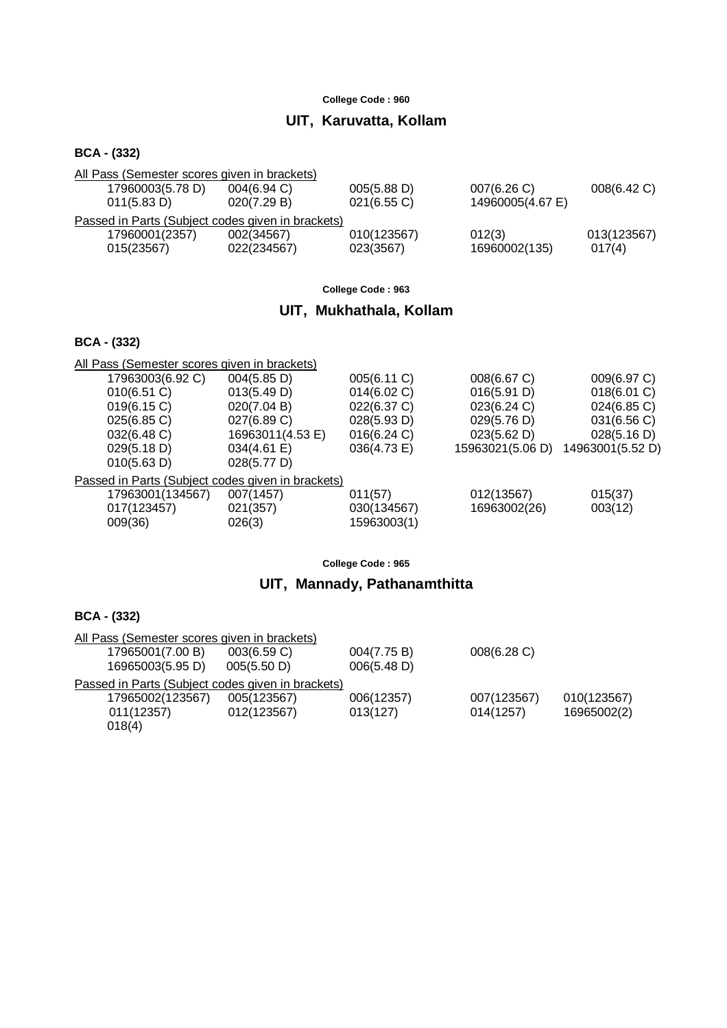## **UIT, Karuvatta, Kollam**

#### **BCA - (332)**

| All Pass (Semester scores given in brackets) |                                                   |             |                  |             |  |  |  |
|----------------------------------------------|---------------------------------------------------|-------------|------------------|-------------|--|--|--|
| 17960003(5.78 D)                             | $004(6.94)$ C)                                    | 005(5.88 D) | 007(6.26)        | 008(6.42 C) |  |  |  |
| 011(5.83 D)                                  | 020(7.29 B)                                       | 021(6.55 C) | 14960005(4.67 E) |             |  |  |  |
|                                              | Passed in Parts (Subject codes given in brackets) |             |                  |             |  |  |  |
| 17960001(2357)                               | 002(34567)                                        | 010(123567) | 012(3)           | 013(123567) |  |  |  |
| 015(23567)                                   | 022(234567)                                       | 023(3567)   | 16960002(135)    | 017(4)      |  |  |  |

**College Code : 963**

## **UIT, Mukhathala, Kollam**

### **BCA - (332)**

| All Pass (Semester scores given in brackets) |                                                   |             |                  |                  |
|----------------------------------------------|---------------------------------------------------|-------------|------------------|------------------|
| 17963003(6.92 C)                             | 004(5.85 D)                                       | 005(6.11 C) | 008(6.67 C)      | 009(6.97 C)      |
| $010(6.51)$ C)                               | 013(5.49 D)                                       | 014(6.02 C) | 016(5.91 D)      | 018(6.01 C)      |
| 019(6.15 C)                                  | 020(7.04 B)                                       | 022(6.37 C) | 023(6.24 C)      | 024(6.85 C)      |
| 025(6.85 C)                                  | 027(6.89 C)                                       | 028(5.93 D) | 029(5.76 D)      | 031(6.56 C)      |
| 032(6.48 C)                                  | 16963011(4.53 E)                                  | 016(6.24 C) | 023(5.62 D)      | 028(5.16 D)      |
| 029(5.18 D)                                  | $034(4.61 \text{ E})$                             | 036(4.73 E) | 15963021(5.06 D) | 14963001(5.52 D) |
| 010(5.63 D)                                  | 028(5.77 D)                                       |             |                  |                  |
|                                              | Passed in Parts (Subject codes given in brackets) |             |                  |                  |
| 17963001(134567)                             | 007(1457)                                         | 011(57)     | 012(13567)       | 015(37)          |
| 017(123457)                                  | 021(357)                                          | 030(134567) | 16963002(26)     | 003(12)          |
| 009(36)                                      | 026(3)                                            | 15963003(1) |                  |                  |
|                                              |                                                   |             |                  |                  |

**College Code : 965**

## **UIT, Mannady, Pathanamthitta**

| All Pass (Semester scores given in brackets)      |             |             |             |             |
|---------------------------------------------------|-------------|-------------|-------------|-------------|
| 17965001(7.00 B)                                  | 003(6.59 C) | 004(7.75 B) | 008(6.28 C) |             |
| 16965003(5.95 D)                                  | 005(5.50 D) | 006(5.48 D) |             |             |
| Passed in Parts (Subject codes given in brackets) |             |             |             |             |
| 17965002(123567)                                  | 005(123567) | 006(12357)  | 007(123567) | 010(123567) |
| 011(12357)                                        | 012(123567) | 013(127)    | 014(1257)   | 16965002(2) |
| 018(4)                                            |             |             |             |             |